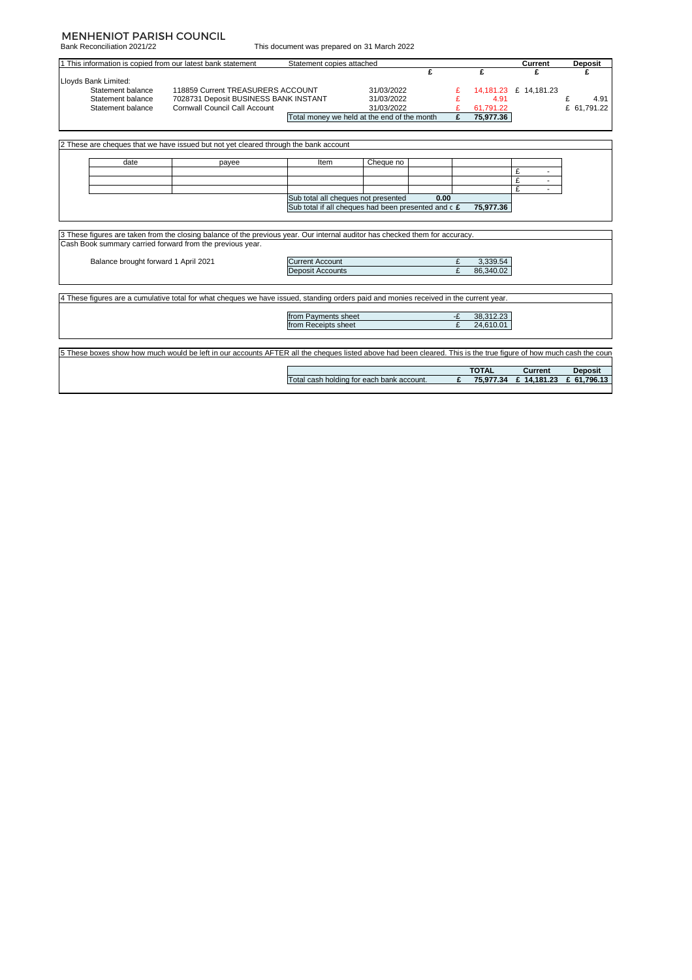## MENHENIOT PARISH COUNCIL

Bank Reconciliation 2021/22

 $\overline{\phantom{a}}$ 

This document was prepared on 31 March 2022

|                                      | 1 This information is copied from our latest bank statement                                                                                                                               | Statement copies attached |                                                     |      |    |              | Current                  | <b>Deposit</b> |
|--------------------------------------|-------------------------------------------------------------------------------------------------------------------------------------------------------------------------------------------|---------------------------|-----------------------------------------------------|------|----|--------------|--------------------------|----------------|
|                                      |                                                                                                                                                                                           |                           |                                                     | £    |    | £            | £                        | £              |
| Lloyds Bank Limited:                 |                                                                                                                                                                                           |                           |                                                     |      |    |              |                          |                |
| Statement balance                    | 118859 Current TREASURERS ACCOUNT                                                                                                                                                         |                           | 31/03/2022                                          |      |    |              | 14,181.23 £ 14,181.23    |                |
| Statement balance                    | 7028731 Deposit BUSINESS BANK INSTANT                                                                                                                                                     |                           | 31/03/2022                                          |      |    | 4.91         |                          | £<br>4.91      |
| Statement balance                    | <b>Cornwall Council Call Account</b>                                                                                                                                                      |                           | 31/03/2022                                          |      |    | 61,791.22    |                          | £ 61,791.22    |
|                                      |                                                                                                                                                                                           |                           | Total money we held at the end of the month         |      | £  | 75,977.36    |                          |                |
|                                      | 2 These are cheques that we have issued but not yet cleared through the bank account                                                                                                      |                           |                                                     |      |    |              |                          |                |
|                                      |                                                                                                                                                                                           |                           |                                                     |      |    |              |                          |                |
| date                                 | payee                                                                                                                                                                                     | Item                      | Cheque no                                           |      |    |              |                          |                |
|                                      |                                                                                                                                                                                           |                           |                                                     |      |    |              | £                        |                |
|                                      |                                                                                                                                                                                           |                           |                                                     |      |    |              | £<br>£                   |                |
|                                      |                                                                                                                                                                                           |                           | Sub total all cheques not presented                 | 0.00 |    |              | $\overline{\phantom{a}}$ |                |
|                                      |                                                                                                                                                                                           |                           | Sub total if all cheques had been presented and c £ |      |    |              |                          |                |
|                                      |                                                                                                                                                                                           |                           |                                                     |      |    |              |                          |                |
|                                      |                                                                                                                                                                                           |                           |                                                     |      |    | 75,977.36    |                          |                |
|                                      | 3 These figures are taken from the closing balance of the previous year. Our internal auditor has checked them for accuracy.<br>Cash Book summary carried forward from the previous year. |                           |                                                     |      |    |              |                          |                |
| Balance brought forward 1 April 2021 |                                                                                                                                                                                           | <b>Current Account</b>    |                                                     |      | £  | 3.339.54     |                          |                |
|                                      |                                                                                                                                                                                           | <b>Deposit Accounts</b>   |                                                     |      | £  | 86,340.02    |                          |                |
|                                      | 4 These figures are a cumulative total for what cheques we have issued, standing orders paid and monies received in the current year.                                                     |                           |                                                     |      |    |              |                          |                |
|                                      |                                                                                                                                                                                           |                           |                                                     |      |    |              |                          |                |
|                                      |                                                                                                                                                                                           | from Payments sheet       |                                                     |      | -£ | 38,312.23    |                          |                |
|                                      |                                                                                                                                                                                           | from Receipts sheet       |                                                     |      | £  | 24.610.01    |                          |                |
|                                      | 5 These boxes show how much would be left in our accounts AFTER all the cheques listed above had been cleared. This is the true figure of how much cash the coun-                         |                           |                                                     |      |    |              |                          |                |
|                                      |                                                                                                                                                                                           |                           |                                                     |      |    | <b>TOTAL</b> | Current                  | <b>Deposit</b> |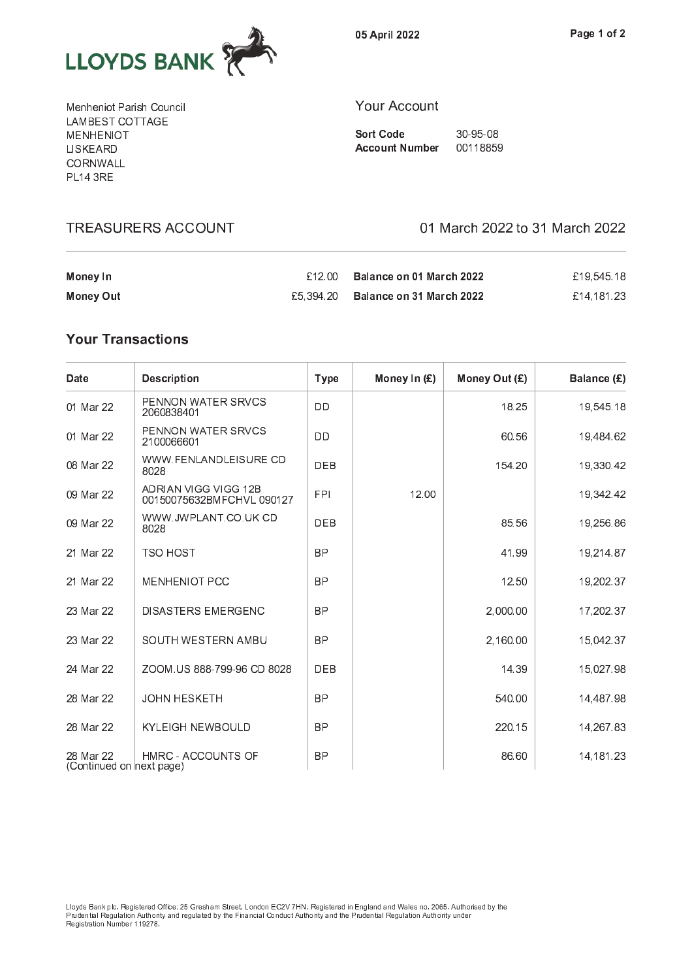

0 <sup>5</sup> <sup>A</sup> <sup>p</sup> r i l <sup>2</sup> <sup>0</sup> <sup>2</sup> <sup>2</sup>

M <sup>e</sup> <sup>n</sup> <sup>h</sup> <sup>e</sup> <sup>n</sup> i o <sup>t</sup> <sup>P</sup> <sup>a</sup> r i s <sup>h</sup> <sup>C</sup> <sup>o</sup> <sup>u</sup> <sup>n</sup> <sup>c</sup> i l . . . . <u>.</u> . . . . . . . . . M <sup>E</sup> <sup>N</sup> <sup>H</sup> <sup>E</sup> <sup>N</sup> I O <sup>T</sup> L I S <sup>K</sup> <sup>E</sup> <sup>A</sup> <sup>R</sup> <sup>D</sup> \_ \_ \_ . . . . . . — . . . <del>.</del> —

**TREASURERS ACCOUNT** 

## $\sim$  0 c c o u n t  $\sim$  0 c o u n t  $\sim$  0 c o u n t  $\sim$  0 c o u n t  $\sim$  0 c o u n t  $\sim$

S o r t C o d e 3 d e 3 d e 3 d e 3 d e 3 d e 3 d e 3 d e 3 d e 3 d e 3 d e 3 d e 3 d e 3 d e 3 d e 3 d e 3 d A c o u n t n t n b e r o u m b e r o u m b e r o u m b e r o u m b e r o u m b e r o u m b e r o u m b e r o

01 March 2022 to 31 March 2022

| Money In  | $£12.00$ Balance on 01 March 2022  | £19.545.18 |
|-----------|------------------------------------|------------|
| Money Out | £5.394.20 Balance on 31 March 2022 | £14.181.23 |

## **Your Transactions**

| Date                                  | <b>Description</b>                               | <b>Type</b> | Money In (£) | Money Out (£) | Balance (£) |
|---------------------------------------|--------------------------------------------------|-------------|--------------|---------------|-------------|
| 01 Mar 22                             | PENNON WATER SRVCS<br>2060838401                 | DD          |              | 18.25         | 19,545.18   |
| 01 Mar 22                             | <b>PENNON WATER SRVCS</b><br>2100066601          | DD          |              | 60.56         | 19,484.62   |
| 08 Mar 22                             | WWW.FENLANDLEISURE CD<br>8028                    | <b>DEB</b>  |              | 154.20        | 19,330.42   |
| 09 Mar 22                             | ADRIAN VIGG VIGG 12B<br>00150075632BMFCHVL090127 | <b>FPI</b>  | 12.00        |               | 19,342.42   |
| 09 Mar 22                             | WWW.JWPLANT.CO.UK CD<br>8028                     | <b>DEB</b>  |              | 85.56         | 19,256.86   |
| 21 Mar 22                             | <b>TSO HOST</b>                                  | <b>BP</b>   |              | 41.99         | 19,214.87   |
| 21 Mar 22                             | <b>MENHENIOT PCC</b>                             | <b>BP</b>   |              | 12.50         | 19,202.37   |
| 23 Mar 22                             | <b>DISASTERS EMERGENC</b>                        | <b>BP</b>   |              | 2,000.00      | 17,202.37   |
| 23 Mar 22                             | SOUTH WESTERN AMBU                               | <b>BP</b>   |              | 2,160.00      | 15,042.37   |
| 24 Mar 22                             | ZOOM.US 888-799-96 CD 8028                       | <b>DEB</b>  |              | 14.39         | 15,027.98   |
| 28 Mar 22                             | <b>JOHN HESKETH</b>                              | <b>BP</b>   |              | 540.00        | 14,487.98   |
| 28 Mar 22                             | <b>KYLEIGH NEWBOULD</b>                          | <b>BP</b>   |              | 220.15        | 14,267.83   |
| 28 Mar 22<br>(Continued on next page) | HMRC - ACCOUNTS OF                               | <b>BP</b>   |              | 86.60         | 14, 181. 23 |

P r u d e n t i a l R e g u l a t i o n <sup>A</sup> u t h o r i t y a n d r e g u l a t e d b y t h e F i n a n c i a l C o n d u c t A u t h o r i t y a n d t h e <sup>P</sup> r u d e n t i a l R e g u l a t i o n <sup>A</sup> u t h o r i t y u n d e r R e c'hoariezh ar dialekt inalez en an dialekt inalez a t i o n N u m b e r a t a t a t a t a t gant da gant d